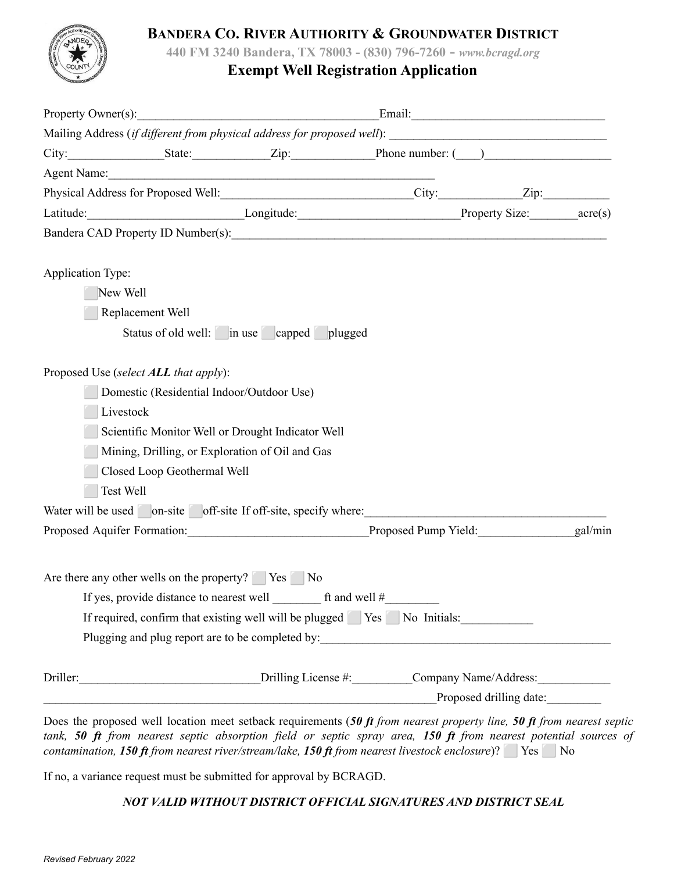

### **BANDERA CO. RIVER AUTHORITY & GROUNDWATER DISTRICT**

**440 FM 3240 Bandera, TX 78003 - (830) 796-7260 -** *www.bcragd.org*

## **Exempt Well Registration Application**

|                                                   |                             | Property Owner(s): Email: Email:                                                                                       |                                                                                                                                                                                                                                                                                                                                                                                                                                            |  |
|---------------------------------------------------|-----------------------------|------------------------------------------------------------------------------------------------------------------------|--------------------------------------------------------------------------------------------------------------------------------------------------------------------------------------------------------------------------------------------------------------------------------------------------------------------------------------------------------------------------------------------------------------------------------------------|--|
|                                                   |                             |                                                                                                                        |                                                                                                                                                                                                                                                                                                                                                                                                                                            |  |
|                                                   |                             |                                                                                                                        |                                                                                                                                                                                                                                                                                                                                                                                                                                            |  |
|                                                   |                             | Agent Name: 1988                                                                                                       |                                                                                                                                                                                                                                                                                                                                                                                                                                            |  |
|                                                   |                             |                                                                                                                        |                                                                                                                                                                                                                                                                                                                                                                                                                                            |  |
|                                                   |                             |                                                                                                                        |                                                                                                                                                                                                                                                                                                                                                                                                                                            |  |
|                                                   |                             |                                                                                                                        |                                                                                                                                                                                                                                                                                                                                                                                                                                            |  |
| <b>Application Type:</b>                          |                             |                                                                                                                        |                                                                                                                                                                                                                                                                                                                                                                                                                                            |  |
| New Well                                          |                             |                                                                                                                        |                                                                                                                                                                                                                                                                                                                                                                                                                                            |  |
| Replacement Well                                  |                             |                                                                                                                        |                                                                                                                                                                                                                                                                                                                                                                                                                                            |  |
|                                                   |                             | Status of old well: in use capped plugged                                                                              |                                                                                                                                                                                                                                                                                                                                                                                                                                            |  |
|                                                   |                             |                                                                                                                        | Physical Address for Proposed Well:________________________________City:_____________Zip:___________<br>Latitude: _________________________________Longitude: ___________________________Property Size: ________acre(s)<br>Water will be used on-site off-site If off-site, specify where:<br>Proposed Aquifer Formation: Proposed Pump Yield: gal/min gal/min<br>If required, confirm that existing well will be plugged Yes No Initials: |  |
| Proposed Use (select <b>ALL</b> that apply):      |                             |                                                                                                                        |                                                                                                                                                                                                                                                                                                                                                                                                                                            |  |
|                                                   |                             | Domestic (Residential Indoor/Outdoor Use)                                                                              |                                                                                                                                                                                                                                                                                                                                                                                                                                            |  |
| Livestock                                         |                             |                                                                                                                        |                                                                                                                                                                                                                                                                                                                                                                                                                                            |  |
|                                                   |                             | Scientific Monitor Well or Drought Indicator Well                                                                      |                                                                                                                                                                                                                                                                                                                                                                                                                                            |  |
|                                                   |                             | Mining, Drilling, or Exploration of Oil and Gas                                                                        |                                                                                                                                                                                                                                                                                                                                                                                                                                            |  |
|                                                   | Closed Loop Geothermal Well |                                                                                                                        |                                                                                                                                                                                                                                                                                                                                                                                                                                            |  |
| Test Well                                         |                             |                                                                                                                        |                                                                                                                                                                                                                                                                                                                                                                                                                                            |  |
|                                                   |                             |                                                                                                                        |                                                                                                                                                                                                                                                                                                                                                                                                                                            |  |
|                                                   |                             |                                                                                                                        |                                                                                                                                                                                                                                                                                                                                                                                                                                            |  |
|                                                   |                             |                                                                                                                        |                                                                                                                                                                                                                                                                                                                                                                                                                                            |  |
| Are there any other wells on the property? Yes No |                             |                                                                                                                        |                                                                                                                                                                                                                                                                                                                                                                                                                                            |  |
|                                                   |                             | If yes, provide distance to nearest well $\qquad$ ft and well $\#$                                                     |                                                                                                                                                                                                                                                                                                                                                                                                                                            |  |
|                                                   |                             |                                                                                                                        |                                                                                                                                                                                                                                                                                                                                                                                                                                            |  |
|                                                   |                             |                                                                                                                        |                                                                                                                                                                                                                                                                                                                                                                                                                                            |  |
|                                                   |                             |                                                                                                                        |                                                                                                                                                                                                                                                                                                                                                                                                                                            |  |
|                                                   |                             | Proposed drilling date:                                                                                                |                                                                                                                                                                                                                                                                                                                                                                                                                                            |  |
|                                                   |                             | Does the prepared well location most satisfact requirements $(50.66$ from negated property line. 50.66 from negated as |                                                                                                                                                                                                                                                                                                                                                                                                                                            |  |

Does the proposed well location meet setback requirements (*50 ft from nearest property line, 50 ft from nearest septic* tank, 50 ft from nearest septic absorption field or septic spray area, 150 ft from nearest potential sources of *contamination, 150 ft from nearest river/stream/lake, 150 ft from nearest livestock enclosure*)? ⬜ Yes ⬜ No

If no, a variance request must be submitted for approval by BCRAGD.

*NOT VALID WITHOUT DISTRICT OFFICIAL SIGNATURES AND DISTRICT SEAL*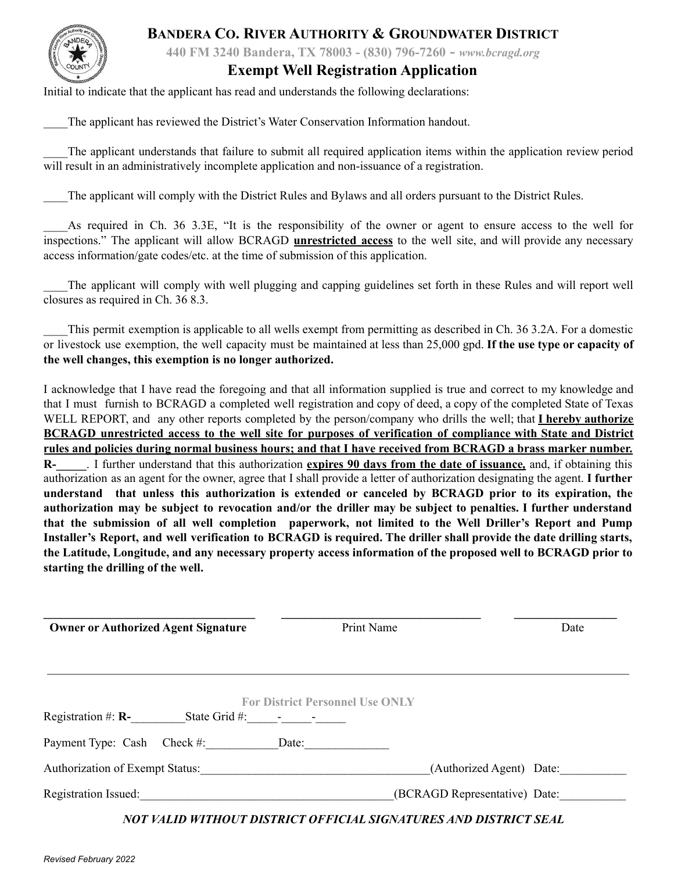### **BANDERA CO. RIVER AUTHORITY & GROUNDWATER DISTRICT**



**440 FM 3240 Bandera, TX 78003 - (830) 796-7260 -** *www.bcragd.org*

#### **Exempt Well Registration Application**

Initial to indicate that the applicant has read and understands the following declarations:

\_\_\_\_The applicant has reviewed the District's Water Conservation Information handout.

The applicant understands that failure to submit all required application items within the application review period will result in an administratively incomplete application and non-issuance of a registration.

\_\_\_\_The applicant will comply with the District Rules and Bylaws and all orders pursuant to the District Rules.

As required in Ch. 36 3.3E, "It is the responsibility of the owner or agent to ensure access to the well for inspections." The applicant will allow BCRAGD **unrestricted access** to the well site, and will provide any necessary access information/gate codes/etc. at the time of submission of this application.

The applicant will comply with well plugging and capping guidelines set forth in these Rules and will report well closures as required in Ch. 36 8.3.

This permit exemption is applicable to all wells exempt from permitting as described in Ch. 36 3.2A. For a domestic or livestock use exemption, the well capacity must be maintained at less than 25,000 gpd. **If the use type or capacity of the well changes, this exemption is no longer authorized.**

I acknowledge that I have read the foregoing and that all information supplied is true and correct to my knowledge and that I must furnish to BCRAGD a completed well registration and copy of deed, a copy of the completed State of Texas WELL REPORT, and any other reports completed by the person/company who drills the well; that **I hereby authorize** BCRAGD unrestricted access to the well site for purposes of verification of compliance with State and District rules and policies during normal business hours; and that I have received from BCRAGD a brass marker number. **R-\_\_\_\_\_**. I further understand that this authorization **expires 90 days from the date of issuance***,* and, if obtaining this authorization as an agent for the owner, agree that I shall provide a letter of authorization designating the agent. **I further understand that unless this authorization is extended or canceled by BCRAGD prior to its expiration, the** authorization may be subject to revocation and/or the driller may be subject to penalties. I further understand **that the submission of all well completion paperwork, not limited to the Well Driller's Report and Pump** Installer's Report, and well verification to BCRAGD is required. The driller shall provide the date drilling starts, the Latitude, Longitude, and any necessary property access information of the proposed well to BCRAGD prior to **starting the drilling of the well.**

| <b>Owner or Authorized Agent Signature</b>                                        | Print Name                             |                               | Date |  |
|-----------------------------------------------------------------------------------|----------------------------------------|-------------------------------|------|--|
|                                                                                   |                                        |                               |      |  |
|                                                                                   | <b>For District Personnel Use ONLY</b> |                               |      |  |
| Registration #: $\mathbf{R}$ -<br>State Grid #: $\qquad \qquad$ - $\qquad \qquad$ |                                        |                               |      |  |
| Payment Type: Cash Check #:                                                       | Date:                                  |                               |      |  |
| <b>Authorization of Exempt Status:</b>                                            |                                        | (Authorized Agent) Date:      |      |  |
| Registration Issued:                                                              |                                        | (BCRAGD Representative) Date: |      |  |

*NOT VALID WITHOUT DISTRICT OFFICIAL SIGNATURES AND DISTRICT SEAL*